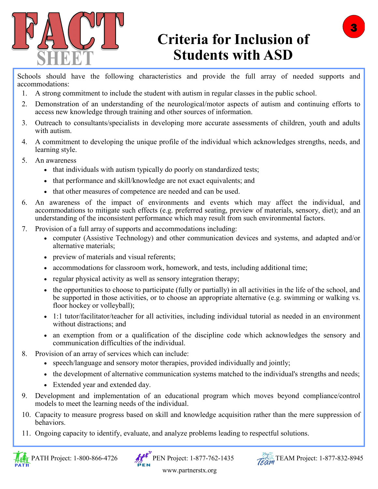

## **Criteria for Inclusion of Students with ASD**

Schools should have the following characteristics and provide the full array of needed supports and accommodations:

- 1. A strong commitment to include the student with autism in regular classes in the public school.
- 2. Demonstration of an understanding of the neurological/motor aspects of autism and continuing efforts to access new knowledge through training and other sources of information.
- 3. Outreach to consultants/specialists in developing more accurate assessments of children, youth and adults with autism.
- 4. A commitment to developing the unique profile of the individual which acknowledges strengths, needs, and learning style.
- 5. An awareness
	- that individuals with autism typically do poorly on standardized tests;
	- that performance and skill/knowledge are not exact equivalents; and
	- that other measures of competence are needed and can be used.
- 6. An awareness of the impact of environments and events which may affect the individual, and accommodations to mitigate such effects (e.g. preferred seating, preview of materials, sensory, diet); and an understanding of the inconsistent performance which may result from such environmental factors.
- 7. Provision of a full array of supports and accommodations including:
	- computer (Assistive Technology) and other communication devices and systems, and adapted and/or alternative materials;
	- preview of materials and visual referents;
	- accommodations for classroom work, homework, and tests, including additional time;
	- regular physical activity as well as sensory integration therapy;
	- the opportunities to choose to participate (fully or partially) in all activities in the life of the school, and be supported in those activities, or to choose an appropriate alternative (e.g. swimming or walking vs. floor hockey or volleyball);
	- 1:1 tutor/facilitator/teacher for all activities, including individual tutorial as needed in an environment without distractions; and
	- an exemption from or a qualification of the discipline code which acknowledges the sensory and communication difficulties of the individual.
- 8. Provision of an array of services which can include:
	- speech/language and sensory motor therapies, provided individually and jointly;
	- the development of alternative communication systems matched to the individual's strengths and needs;
	- Extended year and extended day.
- 9. Development and implementation of an educational program which moves beyond compliance/control models to meet the learning needs of the individual.
- 10. Capacity to measure progress based on skill and knowledge acquisition rather than the mere suppression of behaviors.
- 11. Ongoing capacity to identify, evaluate, and analyze problems leading to respectful solutions.







www.partnerstx.org